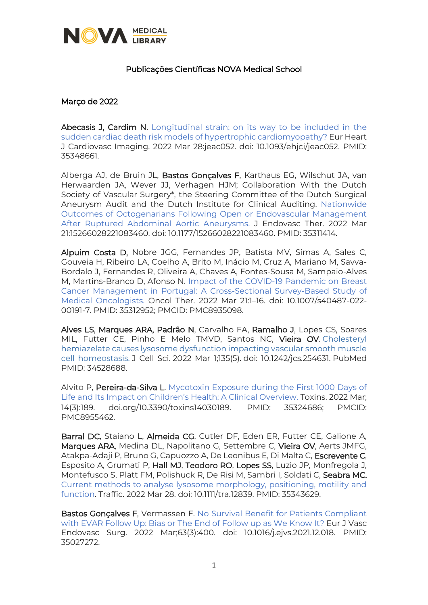

## Publicações Científicas NOVA Medical School

## Março de 2022

Abecasis J, Cardim N. [Longitudinal strain: on its way to be included in the](https://academic.oup.com/ehjcimaging/advance-article-abstract/doi/10.1093/ehjci/jeac052/6554746?redirectedFrom=fulltext&login=true)  [sudden cardiac death risk models of hypertrophic cardiomyopathy?](https://academic.oup.com/ehjcimaging/advance-article-abstract/doi/10.1093/ehjci/jeac052/6554746?redirectedFrom=fulltext&login=true) Eur Heart J Cardiovasc Imaging. 2022 Mar 28:jeac052. doi: 10.1093/ehjci/jeac052. PMID: 35348661.

Alberga AJ, de Bruin JL, Bastos Gonçalves F, Karthaus EG, Wilschut JA, van Herwaarden JA, Wever JJ, Verhagen HJM; Collaboration With the Dutch Society of Vascular Surgery\*, the Steering Committee of the Dutch Surgical Aneurysm Audit and the Dutch Institute for Clinical Auditing. [Nationwide](https://journals.sagepub.com/doi/10.1177/15266028221083460?url_ver=Z39.88-2003&rfr_id=ori:rid:crossref.org&rfr_dat=cr_pub%20%200pubmed)  [Outcomes of Octogenarians Following Open or Endovascular Management](https://journals.sagepub.com/doi/10.1177/15266028221083460?url_ver=Z39.88-2003&rfr_id=ori:rid:crossref.org&rfr_dat=cr_pub%20%200pubmed)  [After Ruptured Abdominal Aortic Aneurysms.](https://journals.sagepub.com/doi/10.1177/15266028221083460?url_ver=Z39.88-2003&rfr_id=ori:rid:crossref.org&rfr_dat=cr_pub%20%200pubmed) J Endovasc Ther. 2022 Mar 21:15266028221083460. doi: 10.1177/15266028221083460. PMID: 35311414.

Alpuim Costa D, Nobre JGG, Fernandes JP, Batista MV, Simas A, Sales C, Gouveia H, Ribeiro LA, Coelho A, Brito M, Inácio M, Cruz A, Mariano M, Savva-Bordalo J, Fernandes R, Oliveira A, Chaves A, Fontes-Sousa M, Sampaio-Alves M, Martins-Branco D, Afonso N. [Impact of the COVID-19 Pandemic on Breast](https://www.ncbi.nlm.nih.gov/pmc/articles/PMC8935098/)  [Cancer Management in Portugal: A Cross-Sectional Survey-Based Study of](https://www.ncbi.nlm.nih.gov/pmc/articles/PMC8935098/)  [Medical Oncologists.](https://www.ncbi.nlm.nih.gov/pmc/articles/PMC8935098/) Oncol Ther. 2022 Mar 21:1–16. doi: 10.1007/s40487-022- 00191-7. PMID: 35312952; PMCID: PMC8935098.

Alves LS, Marques ARA, Padrão N, Carvalho FA, Ramalho J, Lopes CS, Soares MIL, Futter CE, Pinho E Melo TMVD, Santos NC, Vieira OV. Cholesteryl [hemiazelate causes lysosome dysfunction impacting vascular smooth muscle](https://www.ncbi.nlm.nih.gov/pubmed/34528688/)  [cell homeostasis.](https://www.ncbi.nlm.nih.gov/pubmed/34528688/) J Cell Sci. 2022 Mar 1;135(5). doi: 10.1242/jcs.254631. PubMed PMID: 34528688.

Alvito P, Pereira-da-Silva L. [Mycotoxin Exposure during the First 1000 Days of](https://www.mdpi.com/2072-6651/14/3/189/htm)  [Life and Its Impact on Children's Health: A Clinical Overview](https://www.mdpi.com/2072-6651/14/3/189/htm). Toxins. 2022 Mar; 14(3):189. doi.org/10.3390/toxins14030189. PMID: 35324686; PMCID: PMC8955462.

Barral DC, Staiano L, Almeida CG, Cutler DF, Eden ER, Futter CE, Galione A, Marques ARA, Medina DL, Napolitano G, Settembre C, Vieira OV, Aerts JMFG, Atakpa-Adaji P, Bruno G, Capuozzo A, De Leonibus E, Di Malta C, Escrevente C, Esposito A, Grumati P, Hall MJ, Teodoro RO, Lopes SS, Luzio JP, Monfregola J, Montefusco S, Platt FM, Polishuck R, De Risi M, Sambri I, Soldati C, Seabra MC. [Current methods to analyse lysosome morphology, positioning, motility and](https://onlinelibrary.wiley.com/doi/10.1111/tra.12839)  [function.](https://onlinelibrary.wiley.com/doi/10.1111/tra.12839) Traffic. 2022 Mar 28. doi: 10.1111/tra.12839. PMID: 35343629.

Bastos Gonçalves F, Vermassen F. [No Survival Benefit for Patients Compliant](https://www.sciencedirect.com/science/article/pii/S1078588421009710?via%3Dihub)  [with EVAR Follow Up: Bias or The End of Follow up as We Know It?](https://www.sciencedirect.com/science/article/pii/S1078588421009710?via%3Dihub) Eur J Vasc Endovasc Surg. 2022 Mar;63(3):400. doi: 10.1016/j.ejvs.2021.12.018. PMID: 35027272.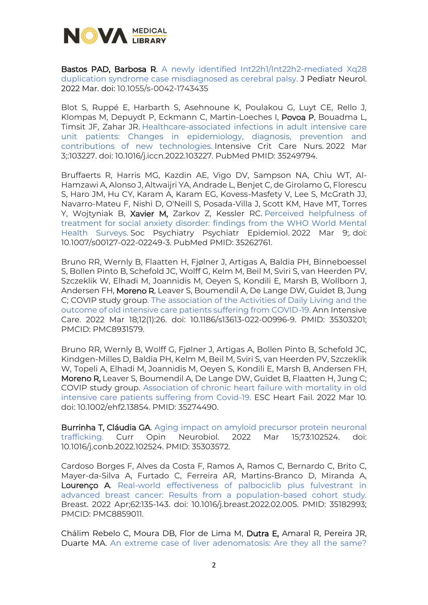

Bastos PAD, Barbosa R. A newly identified Int22h1/Int22h2-mediated Xq28 [duplication syndrome case misdiagnosed as cerebral palsy.](https://www.thieme-connect.de/products/ejournals/abstract/10.1055/s-0042-1743435) J Pediatr Neurol. 2022 Mar. doi: 10.1055/s-0042-1743435

Blot S, Ruppé E, Harbarth S, Asehnoune K, Poulakou G, Luyt CE, Rello J, Klompas M, Depuydt P, Eckmann C, Martin-Loeches I, Povoa P, Bouadma L, Timsit JF, Zahar JR. [Healthcare-associated infections in adult intensive care](https://www.ncbi.nlm.nih.gov/pubmed/35249794/)  [unit patients: Changes in epidemiology, diagnosis, prevention and](https://www.ncbi.nlm.nih.gov/pubmed/35249794/)  [contributions of new technologies.](https://www.ncbi.nlm.nih.gov/pubmed/35249794/) Intensive Crit Care Nurs. 2022 Mar 3;:103227. doi: 10.1016/j.iccn.2022.103227. PubMed PMID: 35249794.

Bruffaerts R, Harris MG, Kazdin AE, Vigo DV, Sampson NA, Chiu WT, Al-Hamzawi A, Alonso J, Altwaijri YA, Andrade L, Benjet C, de Girolamo G, Florescu S, Haro JM, Hu CY, Karam A, Karam EG, Kovess-Masfety V, Lee S, McGrath JJ, Navarro-Mateu F, Nishi D, O'Neill S, Posada-Villa J, Scott KM, Have MT, Torres Y, Wojtyniak B, Xavier M, Zarkov Z, Kessler RC. [Perceived helpfulness of](https://www.ncbi.nlm.nih.gov/pubmed/35262761/)  [treatment for social anxiety disorder: findings from the WHO World Mental](https://www.ncbi.nlm.nih.gov/pubmed/35262761/)  [Health Surveys.](https://www.ncbi.nlm.nih.gov/pubmed/35262761/) Soc Psychiatry Psychiatr Epidemiol. 2022 Mar 9;. doi: 10.1007/s00127-022-02249-3. PubMed PMID: 35262761.

Bruno RR, Wernly B, Flaatten H, Fjølner J, Artigas A, Baldia PH, Binneboessel S, Bollen Pinto B, Schefold JC, Wolff G, Kelm M, Beil M, Sviri S, van Heerden PV, Szczeklik W, Elhadi M, Joannidis M, Oeyen S, Kondili E, Marsh B, Wollborn J, Andersen FH, Moreno R, Leaver S, Boumendil A, De Lange DW, Guidet B, Jung C; COVIP study group. [The association of the Activities of Daily Living and the](https://annalsofintensivecare.springeropen.com/articles/10.1186/s13613-022-00996-9)  [outcome of old intensive care patients suffering from COVID-19.](https://annalsofintensivecare.springeropen.com/articles/10.1186/s13613-022-00996-9) Ann Intensive Care. 2022 Mar 18;12(1):26. doi: 10.1186/s13613-022-00996-9. PMID: 35303201; PMCID: PMC8931579.

Bruno RR, Wernly B, Wolff G, Fjølner J, Artigas A, Bollen Pinto B, Schefold JC, Kindgen-Milles D, Baldia PH, Kelm M, Beil M, Sviri S, van Heerden PV, Szczeklik W, Topeli A, Elhadi M, Joannidis M, Oeyen S, Kondili E, Marsh B, Andersen FH, Moreno R, Leaver S, Boumendil A, De Lange DW, Guidet B, Flaatten H, Jung C; COVIP study group. [Association of chronic heart failure with mortality in old](https://onlinelibrary.wiley.com/doi/10.1002/ehf2.13854)  [intensive care patients suffering from Covid-19.](https://onlinelibrary.wiley.com/doi/10.1002/ehf2.13854) ESC Heart Fail. 2022 Mar 10. doi: 10.1002/ehf2.13854. PMID: 35274490.

Burrinha T, Cláudia GA. Aging impact on amyloid precursor protein neuronal [trafficking.](https://www.sciencedirect.com/science/article/pii/S0959438822000162?via%3Dihub) Curr Opin Neurobiol. 2022 Mar 15;73:102524. doi: 10.1016/j.conb.2022.102524. PMID: 35303572.

Cardoso Borges F, Alves da Costa F, Ramos A, Ramos C, Bernardo C, Brito C, Mayer-da-Silva A, Furtado C, Ferreira AR, Martins-Branco D, Miranda A, Lourenco A. Real-world effectiveness of palbociclib plus fulvestrant in [advanced breast cancer: Results from a population-based cohort study.](https://www.sciencedirect.com/science/article/pii/S0960977622000327?via%3Dihub) Breast. 2022 Apr;62:135-143. doi: 10.1016/j.breast.2022.02.005. PMID: 35182993; PMCID: PMC8859011.

Chálim Rebelo C, Moura DB, Flor de Lima M, Dutra E, Amaral R, Pereira JR, Duarte MA. [An extreme case of liver adenomatosis: Are they all the same?](https://www.mdpi.com/2036-7422/13/1/8/htm)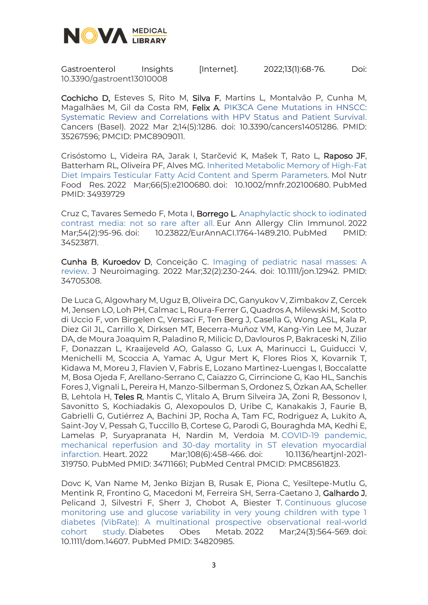

Gastroenterol Insights [Internet]. 2022;13(1):68-76. Doi: 10.3390/gastroent13010008

Cochicho D, Esteves S, Rito M, Silva F, Martins L, Montalvão P, Cunha M, Magalhães M, Gil da Costa RM, Felix A. [PIK3CA Gene Mutations in HNSCC:](https://www.mdpi.com/2072-6694/14/5/1286)  [Systematic Review and Correlations with HPV Status and Patient Survival.](https://www.mdpi.com/2072-6694/14/5/1286) Cancers (Basel). 2022 Mar 2;14(5):1286. doi: 10.3390/cancers14051286. PMID: 35267596; PMCID: PMC8909011.

Crisóstomo L, Videira RA, Jarak I, Starčević K, Mašek T, Rato L, Raposo JF, Batterham RL, Oliveira PF, Alves MG. [Inherited Metabolic Memory of High-Fat](https://www.ncbi.nlm.nih.gov/pubmed/34939729/)  [Diet Impairs Testicular Fatty Acid Content and Sperm Parameters.](https://www.ncbi.nlm.nih.gov/pubmed/34939729/) Mol Nutr Food Res. 2022 Mar;66(5):e2100680. doi: 10.1002/mnfr.202100680. PubMed PMID: 34939729

Cruz C, Tavares Semedo F, Mota I, Borrego L. [Anaphylactic shock to iodinated](https://www.ncbi.nlm.nih.gov/pubmed/34523871/)  [contrast media: not so rare after all.](https://www.ncbi.nlm.nih.gov/pubmed/34523871/) Eur Ann Allergy Clin Immunol. 2022 Mar;54(2):95-96. doi: 10.23822/EurAnnACI.1764-1489.210. PubMed PMID: 34523871.

Cunha B, Kuroedov D, Conceição C. [Imaging of pediatric nasal masses: A](https://onlinelibrary.wiley.com/doi/10.1111/jon.12942)  [review.](https://onlinelibrary.wiley.com/doi/10.1111/jon.12942) J Neuroimaging. 2022 Mar;32(2):230-244. doi: 10.1111/jon.12942. PMID: 34705308.

De Luca G, Algowhary M, Uguz B, Oliveira DC, Ganyukov V, Zimbakov Z, Cercek M, Jensen LO, Loh PH, Calmac L, Roura-Ferrer G, Quadros A, Milewski M, Scotto di Uccio F, von Birgelen C, Versaci F, Ten Berg J, Casella G, Wong ASL, Kala P, Diez Gil JL, Carrillo X, Dirksen MT, Becerra-Muñoz VM, Kang-Yin Lee M, Juzar DA, de Moura Joaquim R, Paladino R, Milicic D, Davlouros P, Bakraceski N, Zilio F, Donazzan L, Kraaijeveld AO, Galasso G, Lux A, Marinucci L, Guiducci V, Menichelli M, Scoccia A, Yamac A, Ugur Mert K, Flores Rios X, Kovarnik T, Kidawa M, Moreu J, Flavien V, Fabris E, Lozano Martìnez-Luengas I, Boccalatte M, Bosa Ojeda F, Arellano-Serrano C, Caiazzo G, Cirrincione G, Kao HL, Sanchis Fores J, Vignali L, Pereira H, Manzo-Silberman S, Ordonez S, Özkan AA, Scheller B, Lehtola H, Teles R, Mantis C, Ylitalo A, Brum Silveira JA, Zoni R, Bessonov I, Savonitto S, Kochiadakis G, Alexopoulos D, Uribe C, Kanakakis J, Faurie B, Gabrielli G, Gutiérrez A, Bachini JP, Rocha A, Tam FC, Rodriguez A, Lukito A, Saint-Joy V, Pessah G, Tuccillo B, Cortese G, Parodi G, Bouraghda MA, Kedhi E, Lamelas P, Suryapranata H, Nardin M, Verdoia M. [COVID-19 pandemic,](https://www.ncbi.nlm.nih.gov/pubmed/34711661/)  [mechanical reperfusion and 30-day mortality in ST elevation myocardial](https://www.ncbi.nlm.nih.gov/pubmed/34711661/)  [infarction.](https://www.ncbi.nlm.nih.gov/pubmed/34711661/) Heart. 2022 Mar;108(6):458-466. doi: 10.1136/heartjnl-2021- 319750. PubMed PMID: 34711661; PubMed Central PMCID: PMC8561823.

Dovc K, Van Name M, Jenko Bizjan B, Rusak E, Piona C, Yesiltepe-Mutlu G, Mentink R, Frontino G, Macedoni M, Ferreira SH, Serra-Caetano J, Galhardo J, Pelicand J, Silvestri F, Sherr J, Chobot A, Biester T. [Continuous glucose](https://www.ncbi.nlm.nih.gov/pubmed/34820985/)  [monitoring use and glucose variability in very young children with type 1](https://www.ncbi.nlm.nih.gov/pubmed/34820985/)  [diabetes \(VibRate\): A multinational prospective observational real-world](https://www.ncbi.nlm.nih.gov/pubmed/34820985/)  [cohort study.](https://www.ncbi.nlm.nih.gov/pubmed/34820985/) Diabetes Obes Metab. 2022 Mar;24(3):564-569. doi: 10.1111/dom.14607. PubMed PMID: 34820985.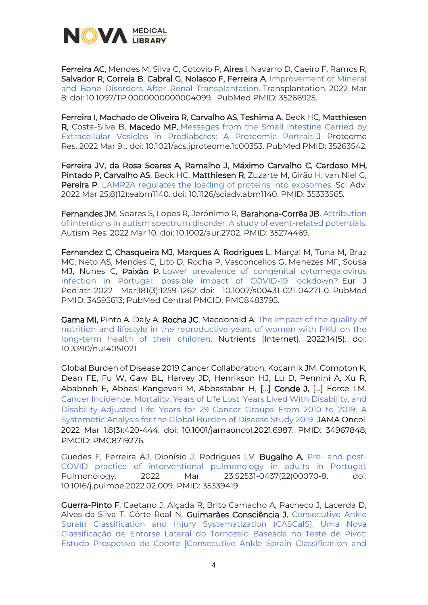

Ferreira AC, Mendes M, Silva C, Cotovio P, Aires I, Navarro D, Caeiro F, Ramos R, Salvador R, Correia B, Cabral G, Nolasco F, Ferreira A. Improvement of Mineral [and Bone Disorders After](https://www.ncbi.nlm.nih.gov/pubmed/35266925/) Renal Transplantation. Transplantation. 2022 Mar 8; doi: 10.1097/TP.0000000000004099. PubMed PMID: 35266925.

Ferreira I, Machado de Oliveira R, Carvalho AS, Teshima A, Beck HC, Matthiesen R, Costa-Silva B, Macedo MP. Messages from the Small Intestine Carried by [Extracellular Vesicles in Prediabetes: A Proteomic Portrait.](https://www.ncbi.nlm.nih.gov/pubmed/35263542/) J Proteome Res. 2022 Mar 9 ;. doi: 10.1021/acs.jproteome.1c00353. PubMed PMID: 35263542.

Ferreira JV, da Rosa Soares A, Ramalho J, Máximo Carvalho C, Cardoso MH, Pintado P, Carvalho AS, Beck HC, Matthiesen R, Zuzarte M, Girão H, van Niel G, Pereira P. [LAMP2A regulates the loading of proteins into exosomes.](https://www.science.org/doi/10.1126/sciadv.abm1140?url_ver=Z39.88-2003&rfr_id=ori%3Arid%3Acrossref.org&rfr_dat=cr_pub++0pubmed&) Sci Adv. 2022 Mar 25;8(12):eabm1140. doi: 10.1126/sciadv.abm1140. PMID: 35333565.

Fernandes JM, Soares S, Lopes R, Jerónimo R, Barahona-Corrêa JB. [Attribution](https://onlinelibrary.wiley.com/doi/10.1002/aur.2702)  [of intentions in autism spectrum disorder: A study of event-related potentials.](https://onlinelibrary.wiley.com/doi/10.1002/aur.2702) Autism Res. 2022 Mar 10. doi: 10.1002/aur.2702. PMID: 35274469.

Fernandez C, Chasqueira MJ, Marques A, Rodrigues L, Marçal M, Tuna M, Braz MC, Neto AS, Mendes C, Lito D, Rocha P, Vasconcellos G, Menezes MF, Sousa MJ, Nunes C, Paixão P. Lower prevalence of congenital cytomegalovirus [infection in Portugal: possible impact of COVID-19 lockdown?.](https://www.ncbi.nlm.nih.gov/pubmed/34595613/) Eur J Pediatr. 2022 Mar;181(3):1259-1262. doi: 10.1007/s00431-021-04271-0. PubMed PMID: 34595613; PubMed Central PMCID: PMC8483795.

Gama MI, Pinto A, Daly A, Rocha JC, Macdonald A. The impact of the quality of [nutrition and lifestyle in the reproductive years of women with PKU on the](https://www.mdpi.com/2072-6643/14/5/1021)  [long-term health of their children.](https://www.mdpi.com/2072-6643/14/5/1021) Nutrients [Internet]. 2022;14(5). doi: 10.3390/nu14051021

Global Burden of Disease 2019 Cancer Collaboration, Kocarnik JM, Compton K, Dean FE, Fu W, Gaw BL, Harvey JD, Henrikson HJ, Lu D, Pennini A, Xu R, Ababneh E, Abbasi-Kangevari M, Abbastabar H, […] Conde J, […] Force LM. [Cancer Incidence, Mortality, Years of Life Lost, Years Lived With Disability, and](https://jamanetwork.com/journals/jamaoncology/fullarticle/2787350)  Disability-Adjusted Life Years for [29 Cancer Groups From 2010 to 2019: A](https://jamanetwork.com/journals/jamaoncology/fullarticle/2787350)  [Systematic Analysis for the Global Burden of Disease Study 2019.](https://jamanetwork.com/journals/jamaoncology/fullarticle/2787350) JAMA Oncol. 2022 Mar 1;8(3):420-444. doi: 10.1001/jamaoncol.2021.6987. PMID: 34967848; PMCID: PMC8719276.

Guedes F, Ferreira AJ, Dionísio J, Rodrigues LV, Bugalho A. Pre- [and post-](https://www.sciencedirect.com/science/article/pii/S2531043722000708?via%3Dihub)[COVID practice of interventional pulmonology in adults in Portugal.](https://www.sciencedirect.com/science/article/pii/S2531043722000708?via%3Dihub) Pulmonology. 2022 Mar 23:S2531-0437(22)00070-8. doi: 10.1016/j.pulmoe.2022.02.009. PMID: 35339419.

Guerra-Pinto F, Caetano J, Alçada R, Brito Camacho A, Pacheco J, Lacerda D, Alves-da-Silva T, Côrte-Real N, Guimarães Consciência J. [Consecutive Ankle](https://actamedicaportuguesa.com/revista/index.php/amp/article/view/13804)  [Sprain Classification and Injury Systematization \(CASCaIS\), Uma Nova](https://actamedicaportuguesa.com/revista/index.php/amp/article/view/13804)  [Classificação de Entorse Lateral do Tornozelo Baseada no Teste de Pivot:](https://actamedicaportuguesa.com/revista/index.php/amp/article/view/13804)  [Estudo Prospetivo de Coorte \[Consecutive Ankle Sprain Classification and](https://actamedicaportuguesa.com/revista/index.php/amp/article/view/13804)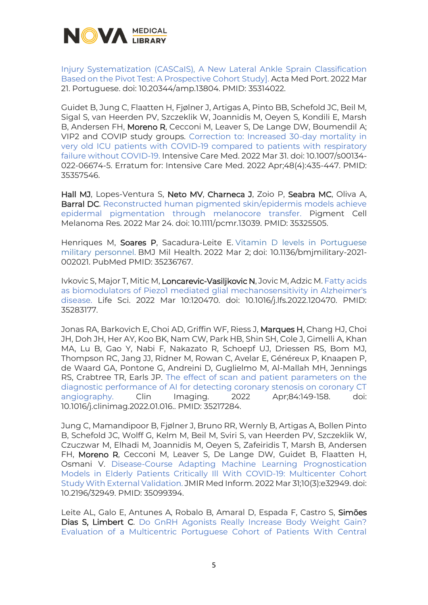

[Injury Systematization \(CASCaIS\), A New Lateral Ankle Sprain Classification](https://actamedicaportuguesa.com/revista/index.php/amp/article/view/13804)  [Based on the Pivot Test: A Prospective Cohort Study\].](https://actamedicaportuguesa.com/revista/index.php/amp/article/view/13804) Acta Med Port. 2022 Mar 21. Portuguese. doi: 10.20344/amp.13804. PMID: 35314022.

Guidet B, Jung C, Flaatten H, Fjølner J, Artigas A, Pinto BB, Schefold JC, Beil M, Sigal S, van Heerden PV, Szczeklik W, Joannidis M, Oeyen S, Kondili E, Marsh B, Andersen FH, Moreno R, Cecconi M, Leaver S, De Lange DW, Boumendil A; VIP2 and COVIP study groups. [Correction to: Increased 30-day mortality in](https://link.springer.com/article/10.1007/s00134-022-06674-5)  [very old ICU patients with COVID-19 compared to patients with respiratory](https://link.springer.com/article/10.1007/s00134-022-06674-5)  [failure without COVID-19.](https://link.springer.com/article/10.1007/s00134-022-06674-5) Intensive Care Med. 2022 Mar 31. doi: 10.1007/s00134- 022-06674-5. Erratum for: Intensive Care Med. 2022 Apr;48(4):435-447. PMID: 35357546.

Hall MJ, Lopes-Ventura S, Neto MV, Charneca J, Zoio P, Seabra MC, Oliva A, Barral DC. Reconstructed human pigmented skin/epidermis models achieve [epidermal pigmentation through melanocore transfer.](https://onlinelibrary.wiley.com/doi/10.1111/pcmr.13039) Pigment Cell Melanoma Res. 2022 Mar 24. doi: 10.1111/pcmr.13039. PMID: 35325505.

Henriques M, Soares P, Sacadura-Leite E. Vitamin D levels in Portuguese [military personnel.](https://www.ncbi.nlm.nih.gov/pubmed/35236767/) BMJ Mil Health. 2022 Mar 2; doi: 10.1136/bmjmilitary-2021- 002021. PubMed PMID: 35236767.

Ivkovic S, Major T, Mitic M, Loncarevic-Vasiljkovic N, Jovic M, Adzic M. Fatty acids [as biomodulators of Piezo1 mediated glial mechanosensitivity in Alzheimer's](https://www.sciencedirect.com/science/article/pii/S0024320522001709?via%3Dihub)  [disease.](https://www.sciencedirect.com/science/article/pii/S0024320522001709?via%3Dihub) Life Sci. 2022 Mar 10:120470. doi: 10.1016/j.lfs.2022.120470. PMID: 35283177.

Jonas RA, Barkovich E, Choi AD, Griffin WF, Riess J, Marques H, Chang HJ, Choi JH, Doh JH, Her AY, Koo BK, Nam CW, Park HB, Shin SH, Cole J, Gimelli A, Khan MA, Lu B, Gao Y, Nabi F, Nakazato R, Schoepf UJ, Driessen RS, Bom MJ, Thompson RC, Jang JJ, Ridner M, Rowan C, Avelar E, Généreux P, Knaapen P, de Waard GA, Pontone G, Andreini D, Guglielmo M, Al-Mallah MH, Jennings RS, Crabtree TR, Earls JP. [The effect of scan and patient parameters on the](https://www.sciencedirect.com/science/article/pii/S0899707122000250?via%3Dihub)  [diagnostic performance of AI for detecting coronary stenosis on coronary CT](https://www.sciencedirect.com/science/article/pii/S0899707122000250?via%3Dihub)  [angiography.](https://www.sciencedirect.com/science/article/pii/S0899707122000250?via%3Dihub) Clin Imaging. 2022 Apr;84:149-158. doi: 10.1016/j.clinimag.2022.01.016.. PMID: 35217284.

Jung C, Mamandipoor B, Fjølner J, Bruno RR, Wernly B, Artigas A, Bollen Pinto B, Schefold JC, Wolff G, Kelm M, Beil M, Sviri S, van Heerden PV, Szczeklik W, Czuczwar M, Elhadi M, Joannidis M, Oeyen S, Zafeiridis T, Marsh B, Andersen FH, Moreno R, Cecconi M, Leaver S, De Lange DW, Guidet B, Flaatten H, Osmani V. [Disease-Course Adapting Machine Learning Prognostication](https://medinform.jmir.org/2022/3/e32949)  [Models in Elderly Patients Critically Ill With COVID-19: Multicenter Cohort](https://medinform.jmir.org/2022/3/e32949)  [Study With External Validation.](https://medinform.jmir.org/2022/3/e32949) JMIR Med Inform. 2022 Mar 31;10(3):e32949. doi: 10.2196/32949. PMID: 35099394.

Leite AL, Galo E, Antunes A, Robalo B, Amaral D, Espada F, Castro S, Simões Dias S, Limbert C. Do GnRH Agonists Really Increase Body Weight Gain? [Evaluation of a Multicentric Portuguese Cohort of Patients With Central](https://www.frontiersin.org/articles/10.3389/fped.2022.816635/full)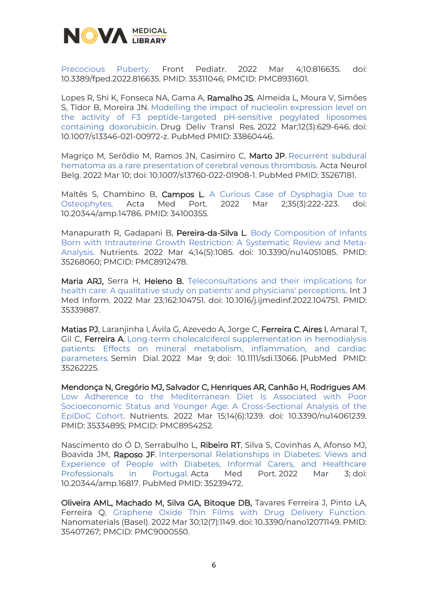

[Precocious Puberty.](https://www.frontiersin.org/articles/10.3389/fped.2022.816635/full) Front Pediatr. 2022 Mar 4;10:816635. doi: 10.3389/fped.2022.816635. PMID: 35311046; PMCID: PMC8931601.

Lopes R, Shi K, Fonseca NA, Gama A, Ramalho JS, Almeida L, Moura V, Simões S, Tidor B, Moreira JN. [Modelling the impact of nucleolin expression level on](https://www.ncbi.nlm.nih.gov/pubmed/33860446/)  [the activity of F3 peptide-targeted pH-sensitive pegylated liposomes](https://www.ncbi.nlm.nih.gov/pubmed/33860446/)  [containing doxorubicin.](https://www.ncbi.nlm.nih.gov/pubmed/33860446/) Drug Deliv Transl Res. 2022 Mar;12(3):629-646. doi: 10.1007/s13346-021-00972-z. PubMed PMID: 33860446.

Magriço M, Serôdio M, Ramos JN, Casimiro C, Marto JP. [Recurrent subdural](https://www.ncbi.nlm.nih.gov/pubmed/35267181/)  [hematoma as a rare presentation of cerebral venous thrombosis.](https://www.ncbi.nlm.nih.gov/pubmed/35267181/) Acta Neurol Belg. 2022 Mar 10; doi: 10.1007/s13760-022-01908-1. PubMed PMID: 35267181.

Maltês S, Chambino B, Campos L. A Curious Case of Dysphagia Due to [Osteophytes.](https://actamedicaportuguesa.com/revista/index.php/amp/article/view/14786) Acta Med Port. 2022 Mar 2;35(3):222-223. doi: 10.20344/amp.14786. PMID: 34100355.

Manapurath R, Gadapani B, Pereira-da-Silva L. Body Composition of Infants [Born with Intrauterine Growth Restriction: A Systematic Review and Meta-](https://www.mdpi.com/2072-6643/14/5/1085)[Analysis.](https://www.mdpi.com/2072-6643/14/5/1085) Nutrients. 2022 Mar 4;14(5):1085. doi: 10.3390/nu14051085. PMID: 35268060; PMCID: PMC8912478.

Maria ARJ, Serra H, Heleno B. Teleconsultations and their implications for [health care: A qualitative study on patients' and physicians' perceptions.](https://www.sciencedirect.com/science/article/pii/S138650562200065X?via%3Dihub) Int J Med Inform. 2022 Mar 23;162:104751. doi: 10.1016/j.ijmedinf.2022.104751. PMID: 35339887.

Matias PJ, Laranjinha I, Ávila G, Azevedo A, Jorge C, Ferreira C, Aires I, Amaral T, Gil C. Ferreira A. Long-term cholecalciferol supplementation in hemodialysis [patients: Effects on mineral metabolism, inflammation, and cardiac](https://www.ncbi.nlm.nih.gov/pubmed/35262225/)  [parameters.](https://www.ncbi.nlm.nih.gov/pubmed/35262225/) Semin Dial. 2022 Mar 9; doi: 10.1111/sdi.13066. [PubMed PMID: 35262225.

Mendonça N, Gregório MJ, Salvador C, Henriques AR, Canhão H, Rodrigues AM. [Low Adherence to the Mediterranean Diet Is Associated with Poor](https://www.mdpi.com/2072-6643/14/6/1239)  [Socioeconomic Status and Younger Age: A Cross-Sectional Analysis of the](https://www.mdpi.com/2072-6643/14/6/1239)  [EpiDoC Cohort.](https://www.mdpi.com/2072-6643/14/6/1239) Nutrients. 2022 Mar 15;14(6):1239. doi: 10.3390/nu14061239. PMID: 35334895; PMCID: PMC8954252.

Nascimento do Ó D, Serrabulho L, Ribeiro RT, Silva S, Covinhas A, Afonso MJ, Boavida JM, Raposo JF. [Interpersonal Relationships in Diabetes: Views and](https://www.ncbi.nlm.nih.gov/pubmed/35239472/)  [Experience of People with Diabetes, Informal Carers, and Healthcare](https://www.ncbi.nlm.nih.gov/pubmed/35239472/)  [Professionals in Portugal.](https://www.ncbi.nlm.nih.gov/pubmed/35239472/) Acta Med Port. 2022 Mar 3; doi: 10.20344/amp.16817. PubMed PMID: 35239472.

Oliveira AML, Machado M, Silva GA, Bitoque DB, Tavares Ferreira J, Pinto LA, Ferreira Q. [Graphene Oxide Thin Films with Drug Delivery Function.](https://www.mdpi.com/2079-4991/12/7/1149) Nanomaterials (Basel). 2022 Mar 30;12(7):1149. doi: 10.3390/nano12071149. PMID: 35407267; PMCID: PMC9000550.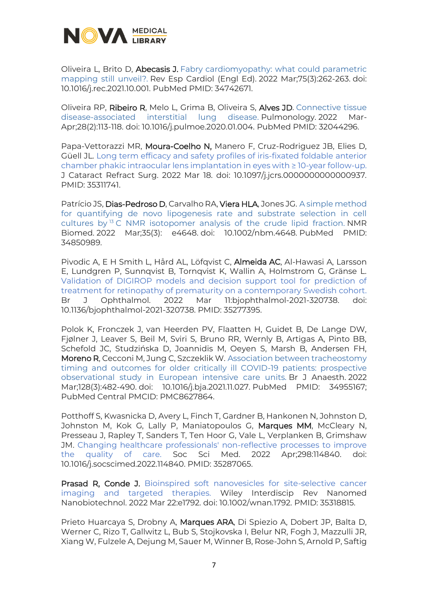

Oliveira L, Brito D, Abecasis J. Fabry cardiomyopathy: what could parametric [mapping still unveil?.](https://www.ncbi.nlm.nih.gov/pubmed/34742671/) Rev Esp Cardiol (Engl Ed). 2022 Mar;75(3):262-263. doi: 10.1016/j.rec.2021.10.001. PubMed PMID: 34742671.

Oliveira RP, Ribeiro R, Melo L, Grima B, Oliveira S, Alves JD. [Connective tissue](https://www.ncbi.nlm.nih.gov/pubmed/32044296/)  [disease-associated interstitial lung disease.](https://www.ncbi.nlm.nih.gov/pubmed/32044296/) Pulmonology. 2022 Mar-Apr;28(2):113-118. doi: 10.1016/j.pulmoe.2020.01.004. PubMed PMID: 32044296.

Papa-Vettorazzi MR, Moura-Coelho N, Manero F, Cruz-Rodriguez JB, Elies D, Güell JL. [Long term efficacy and safety profiles of iris-fixated foldable anterior](https://journals.lww.com/jcrs/Abstract/9900/Long_term_efficacy_and_safety_profiles_of.4.aspx)  [chamber phakic intraocular lens implantation in eyes with ≥ 10](https://journals.lww.com/jcrs/Abstract/9900/Long_term_efficacy_and_safety_profiles_of.4.aspx)-year follow-up. J Cataract Refract Surg. 2022 Mar 18. doi: 10.1097/j.jcrs.0000000000000937. PMID: 35311741.

Patrício JS, Dias-Pedroso D, Carvalho RA, Viera HLA, Jones JG. A simple method [for quantifying de novo lipogenesis rate and substrate selection in cell](https://www.ncbi.nlm.nih.gov/pubmed/34850989/)  cultures by  $13$  [C NMR isotopomer analysis of the crude lipid fraction.](https://www.ncbi.nlm.nih.gov/pubmed/34850989/) NMR Biomed. 2022 Mar;35(3): e4648. doi: 10.1002/nbm.4648. PubMed PMID: 34850989.

Pivodic A, E H Smith L, Hård AL, Löfqvist C, Almeida AC, Al-Hawasi A, Larsson E, Lundgren P, Sunnqvist B, Tornqvist K, Wallin A, Holmstrom G, Gränse L. [Validation of DIGIROP models and decision support tool for prediction of](https://bjo.bmj.com/content/early/2022/03/10/bjophthalmol-2021-320738.long)  [treatment for retinopathy of prematurity on a contemporary Swedish cohort.](https://bjo.bmj.com/content/early/2022/03/10/bjophthalmol-2021-320738.long) Br J Ophthalmol. 2022 Mar 11:bjophthalmol-2021-320738. doi: 10.1136/bjophthalmol-2021-320738. PMID: 35277395.

Polok K, Fronczek J, van Heerden PV, Flaatten H, Guidet B, De Lange DW, Fjølner J, Leaver S, Beil M, Sviri S, Bruno RR, Wernly B, Artigas A, Pinto BB, Schefold JC, Studzińska D, Joannidis M, Oeyen S, Marsh B, Andersen FH, Moreno R, Cecconi M, Jung C, Szczeklik W. [Association between tracheostomy](https://www.ncbi.nlm.nih.gov/pubmed/34955167/)  [timing and outcomes for older critically ill COVID-19 patients: prospective](https://www.ncbi.nlm.nih.gov/pubmed/34955167/)  [observational study in European intensive care units.](https://www.ncbi.nlm.nih.gov/pubmed/34955167/) Br J Anaesth. 2022 Mar;128(3):482-490. doi: 10.1016/j.bja.2021.11.027. PubMed PMID: 34955167; PubMed Central PMCID: PMC8627864.

Potthoff S, Kwasnicka D, Avery L, Finch T, Gardner B, Hankonen N, Johnston D, Johnston M, Kok G, Lally P, Maniatopoulos G, Marques MM, McCleary N, Presseau J, Rapley T, Sanders T, Ten Hoor G, Vale L, Verplanken B, Grimshaw JM. [Changing healthcare professionals' non-reflective processes to improve](https://www.sciencedirect.com/science/article/pii/S0277953622001460?via%3Dihub)  [the quality of care.](https://www.sciencedirect.com/science/article/pii/S0277953622001460?via%3Dihub) Soc Sci Med. 2022 Apr;298:114840. doi: 10.1016/j.socscimed.2022.114840. PMID: 35287065.

Prasad R, Conde J. Bioinspired soft nanovesicles for site-selective cancer [imaging and targeted therapies.](https://wires.onlinelibrary.wiley.com/doi/10.1002/wnan.1792) Wiley Interdiscip Rev Nanomed Nanobiotechnol. 2022 Mar 22:e1792. doi: 10.1002/wnan.1792. PMID: 35318815.

Prieto Huarcaya S, Drobny A, Marques ARA, Di Spiezio A, Dobert JP, Balta D, Werner C, Rizo T, Gallwitz L, Bub S, Stojkovska I, Belur NR, Fogh J, Mazzulli JR, Xiang W, Fulzele A, Dejung M, Sauer M, Winner B, Rose-John S, Arnold P, Saftig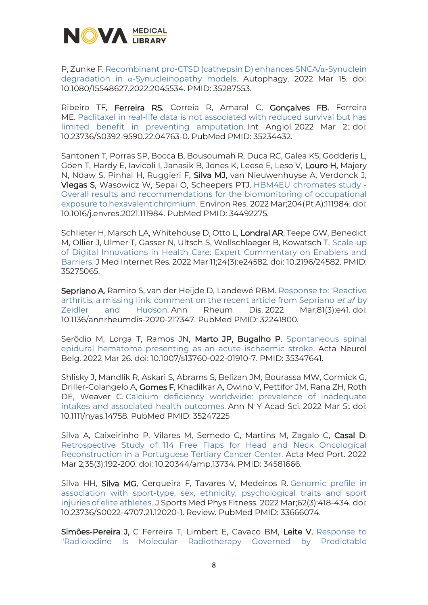

P, Zunke F[. Recombinant pro-CTSD \(cathepsin D\) enhances SNCA/](https://www.tandfonline.com/doi/full/10.1080/15548627.2022.2045534)α-Synuclein degradation in α[-Synucleinopathy models.](https://www.tandfonline.com/doi/full/10.1080/15548627.2022.2045534) Autophagy. 2022 Mar 15. doi: 10.1080/15548627.2022.2045534. PMID: 35287553.

Ribeiro TF, Ferreira RS, Correia R, Amaral C, Gonçalves FB, Ferreira ME. [Paclitaxel in real-life data is not associated with reduced survival but has](https://www.ncbi.nlm.nih.gov/pubmed/35234432/)  [limited benefit in preventing](https://www.ncbi.nlm.nih.gov/pubmed/35234432/) amputation. Int Angiol. 2022 Mar 2;. doi: 10.23736/S0392-9590.22.04763-0. PubMed PMID: 35234432.

Santonen T, Porras SP, Bocca B, Bousoumah R, Duca RC, Galea KS, Godderis L, Göen T, Hardy E, Iavicoli I, Janasik B, Jones K, Leese E, Leso V, Louro H, Majery N, Ndaw S, Pinhal H, Ruggieri F, Silva MJ, van Nieuwenhuyse A, Verdonck J, Viegas S, Wasowicz W, Sepai O, Scheepers PTJ. [HBM4EU chromates study -](https://www.ncbi.nlm.nih.gov/pubmed/34492275/) [Overall results and recommendations for the biomonitoring of occupational](https://www.ncbi.nlm.nih.gov/pubmed/34492275/)  [exposure to hexavalent chromium.](https://www.ncbi.nlm.nih.gov/pubmed/34492275/) Environ Res. 2022 Mar;204(Pt A):111984. doi: 10.1016/j.envres.2021.111984. PubMed PMID: 34492275.

Schlieter H, Marsch LA, Whitehouse D, Otto L, Londral AR, Teepe GW, Benedict M, Ollier J, Ulmer T, Gasser N, Ultsch S, Wollschlaeger B, Kowatsch T. [Scale-up](https://www.jmir.org/2022/3/e24582)  [of Digital Innovations in Health Care: Expert Commentary on Enablers and](https://www.jmir.org/2022/3/e24582)  [Barriers.](https://www.jmir.org/2022/3/e24582) J Med Internet Res. 2022 Mar 11;24(3):e24582. doi: 10.2196/24582. PMID: 35275065.

Sepriano A, Ramiro S, van der Heijde D, Landewé RBM. Response to: 'Reactive [arthritis, a missing link: comment on the recent article from Sepriano](https://www.ncbi.nlm.nih.gov/pubmed/32241800/) *et al* by [Zeidler and Hudson.](https://www.ncbi.nlm.nih.gov/pubmed/32241800/) Ann Rheum Dis. 2022 Mar;81(3):e41. doi: 10.1136/annrheumdis-2020-217347. PubMed PMID: 32241800.

Serôdio M, Lorga T, Ramos JN, Marto JP, Bugalho P. [Spontaneous](https://link.springer.com/article/10.1007/s13760-022-01910-7) spinal [epidural hematoma presenting as an acute ischaemic stroke.](https://link.springer.com/article/10.1007/s13760-022-01910-7) Acta Neurol Belg. 2022 Mar 26. doi: 10.1007/s13760-022-01910-7. PMID: 35347641.

Shlisky J, Mandlik R, Askari S, Abrams S, Belizan JM, Bourassa MW, Cormick G, Driller-Colangelo A, Gomes F, Khadilkar A, Owino V, Pettifor JM, Rana ZH, Roth DE, Weaver C. [Calcium deficiency worldwide: prevalence of inadequate](https://www.ncbi.nlm.nih.gov/pubmed/35247225/)  [intakes and associated health outcomes.](https://www.ncbi.nlm.nih.gov/pubmed/35247225/) Ann N Y Acad Sci. 2022 Mar 5;. doi: 10.1111/nyas.14758. PubMed PMID: 35247225

Silva A, Caixeirinho P, Vilares M, Semedo C, Martins M, Zagalo C, Casal D. [Retrospective Study of 114 Free Flaps for Head and Neck Oncological](https://actamedicaportuguesa.com/revista/index.php/amp/article/view/13734)  [Reconstruction in a Portuguese Tertiary Cancer Center.](https://actamedicaportuguesa.com/revista/index.php/amp/article/view/13734) Acta Med Port. 2022 Mar 2;35(3):192-200. doi: 10.20344/amp.13734. PMID: 34581666.

Silva HH, Silva MG, Cerqueira F, Tavares V, Medeiros R. [Genomic profile in](https://www.ncbi.nlm.nih.gov/pubmed/33666074/)  [association with sport-type, sex, ethnicity, psychological traits and sport](https://www.ncbi.nlm.nih.gov/pubmed/33666074/)  [injuries of elite athletes.](https://www.ncbi.nlm.nih.gov/pubmed/33666074/) J Sports Med Phys Fitness. 2022 Mar;62(3):418-434. doi: 10.23736/S0022-4707.21.12020-1. Review. PubMed PMID: 33666074.

Simões-Pereira J, C Ferreira T, Limbert E, Cavaco BM, Leite V. [Response to](https://www.liebertpub.com/doi/10.1089/thy.2021.0644?url_ver=Z39.88-2003&rfr_id=ori:rid:crossref.org&rfr_dat=cr_pub%20%200pubmed)  ["Radioiodine Is Molecular Radiotherapy Governed by Predictable](https://www.liebertpub.com/doi/10.1089/thy.2021.0644?url_ver=Z39.88-2003&rfr_id=ori:rid:crossref.org&rfr_dat=cr_pub%20%200pubmed)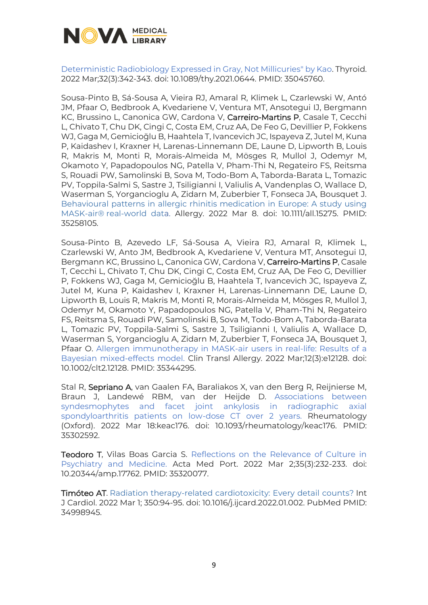

[Deterministic Radiobiology Expressed in Gray, Not Millicuries" by Kao.](https://www.liebertpub.com/doi/10.1089/thy.2021.0644?url_ver=Z39.88-2003&rfr_id=ori:rid:crossref.org&rfr_dat=cr_pub%20%200pubmed) Thyroid. 2022 Mar;32(3):342-343. doi: 10.1089/thy.2021.0644. PMID: 35045760.

Sousa-Pinto B, Sá-Sousa A, Vieira RJ, Amaral R, Klimek L, Czarlewski W, Antó JM, Pfaar O, Bedbrook A, Kvedariene V, Ventura MT, Ansotegui IJ, Bergmann KC, Brussino L, Canonica GW, Cardona V, Carreiro-Martins P, Casale T, Cecchi L, Chivato T, Chu DK, Cingi C, Costa EM, Cruz AA, De Feo G, Devillier P, Fokkens WJ, Gaga M, Gemicioğlu B, Haahtela T, Ivancevich JC, Ispayeva Z, Jutel M, Kuna P, Kaidashev I, Kraxner H, Larenas-Linnemann DE, Laune D, Lipworth B, Louis R, Makris M, Monti R, Morais-Almeida M, Mösges R, Mullol J, Odemyr M, Okamoto Y, Papadopoulos NG, Patella V, Pham-Thi N, Regateiro FS, Reitsma S, Rouadi PW, Samolinski B, Sova M, Todo-Bom A, Taborda-Barata L, Tomazic PV, Toppila-Salmi S, Sastre J, Tsiligianni I, Valiulis A, Vandenplas O, Wallace D, Waserman S, Yorgancioglu A, Zidarn M, Zuberbier T, Fonseca JA, Bousquet J. [Behavioural patterns in allergic rhinitis medication in Europe: A study using](https://onlinelibrary.wiley.com/doi/10.1111/all.15275)  MASK-air® [real-world data.](https://onlinelibrary.wiley.com/doi/10.1111/all.15275) Allergy. 2022 Mar 8. doi: 10.1111/all.15275. PMID: 35258105.

Sousa-Pinto B, Azevedo LF, Sá-Sousa A, Vieira RJ, Amaral R, Klimek L, Czarlewski W, Anto JM, Bedbrook A, Kvedariene V, Ventura MT, Ansotegui IJ, Bergmann KC, Brussino L, Canonica GW, Cardona V, Carreiro-Martins P, Casale T, Cecchi L, Chivato T, Chu DK, Cingi C, Costa EM, Cruz AA, De Feo G, Devillier P, Fokkens WJ, Gaga M, Gemicioğlu B, Haahtela T, Ivancevich JC, Ispayeva Z, Jutel M, Kuna P, Kaidashev I, Kraxner H, Larenas-Linnemann DE, Laune D, Lipworth B, Louis R, Makris M, Monti R, Morais-Almeida M, Mösges R, Mullol J, Odemyr M, Okamoto Y, Papadopoulos NG, Patella V, Pham-Thi N, Regateiro FS, Reitsma S, Rouadi PW, Samolinski B, Sova M, Todo-Bom A, Taborda-Barata L, Tomazic PV, Toppila-Salmi S, Sastre J, Tsiligianni I, Valiulis A, Wallace D, Waserman S, Yorgancioglu A, Zidarn M, Zuberbier T, Fonseca JA, Bousquet J, Pfaar O. [Allergen immunotherapy in MASK-air users in real-life: Results of a](https://onlinelibrary.wiley.com/doi/10.1002/clt2.12128)  [Bayesian mixed-effects model.](https://onlinelibrary.wiley.com/doi/10.1002/clt2.12128) Clin Transl Allergy. 2022 Mar;12(3):e12128. doi: 10.1002/clt2.12128. PMID: 35344295.

Stal R, Sepriano A, van Gaalen FA, Baraliakos X, van den Berg R, Reijnierse M, Braun J, Landewé RBM, van der Heijde D. [Associations between](https://academic.oup.com/rheumatology/advance-article/doi/10.1093/rheumatology/keac176/6550496?login=true)  [syndesmophytes and facet joint ankylosis in radiographic axial](https://academic.oup.com/rheumatology/advance-article/doi/10.1093/rheumatology/keac176/6550496?login=true)  [spondyloarthritis patients on low-dose CT over 2 years.](https://academic.oup.com/rheumatology/advance-article/doi/10.1093/rheumatology/keac176/6550496?login=true) Rheumatology (Oxford). 2022 Mar 18:keac176. doi: 10.1093/rheumatology/keac176. PMID: 35302592.

Teodoro T, Vilas Boas Garcia S. [Reflections on the Relevance of Culture in](https://actamedicaportuguesa.com/revista/index.php/amp/article/view/17762)  [Psychiatry and Medicine.](https://actamedicaportuguesa.com/revista/index.php/amp/article/view/17762) Acta Med Port. 2022 Mar 2;35(3):232-233. doi: 10.20344/amp.17762. PMID: 35320077.

Timóteo AT. [Radiation therapy-related cardiotoxicity: Every detail counts?](https://www.ncbi.nlm.nih.gov/pubmed/34998945/) Int J Cardiol. 2022 Mar 1; 350:94-95. doi: 10.1016/j.ijcard.2022.01.002. PubMed PMID: 34998945.